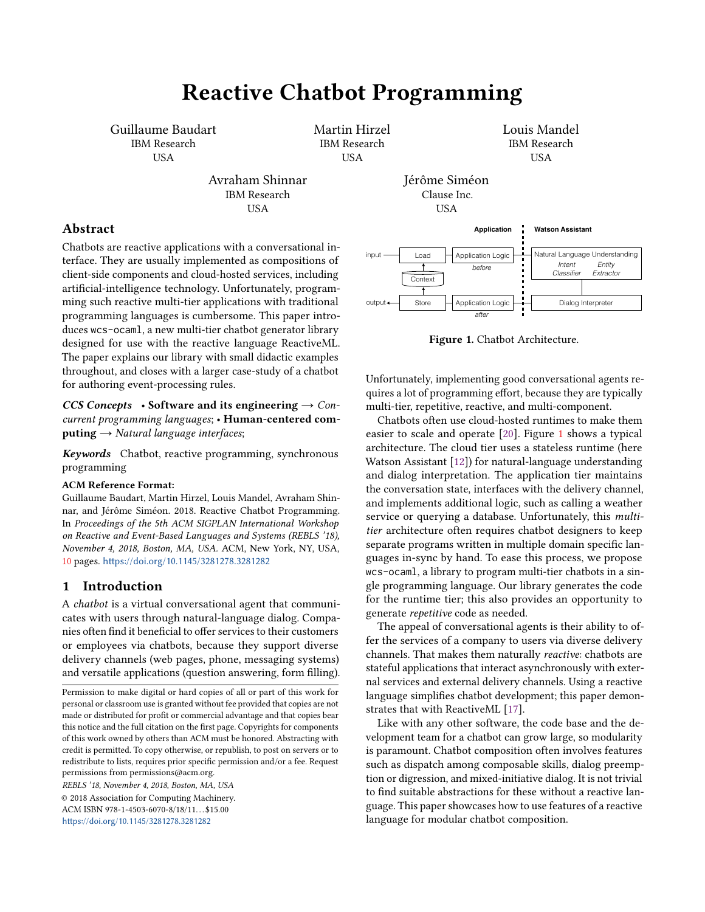# Reactive Chatbot Programming

Guillaume Baudart IBM Research USA

> Avraham Shinnar IBM Research USA

Martin Hirzel IBM Research USA

Louis Mandel IBM Research USA

## Abstract

Chatbots are reactive applications with a conversational interface. They are usually implemented as compositions of client-side components and cloud-hosted services, including artificial-intelligence technology. Unfortunately, programming such reactive multi-tier applications with traditional programming languages is cumbersome. This paper introduces wcs-ocaml, a new multi-tier chatbot generator library designed for use with the reactive language ReactiveML. The paper explains our library with small didactic examples throughout, and closes with a larger case-study of a chatbot for authoring event-processing rules.

CCS Concepts • Software and its engineering  $\rightarrow$  Concurrent programming languages; • Human-centered computing  $\rightarrow$  Natural language interfaces;

Keywords Chatbot, reactive programming, synchronous programming

#### ACM Reference Format:

Guillaume Baudart, Martin Hirzel, Louis Mandel, Avraham Shinnar, and Jérôme Siméon. 2018. Reactive Chatbot Programming. In Proceedings of the 5th ACM SIGPLAN International Workshop on Reactive and Event-Based Languages and Systems (REBLS '18), November 4, 2018, Boston, MA, USA. ACM, New York, NY, USA, [10](#page-9-0) pages. <https://doi.org/10.1145/3281278.3281282>

## 1 Introduction

A chatbot is a virtual conversational agent that communicates with users through natural-language dialog. Companies often find it beneficial to offer services to their customers or employees via chatbots, because they support diverse delivery channels (web pages, phone, messaging systems) and versatile applications (question answering, form filling).

REBLS '18, November 4, 2018, Boston, MA, USA © 2018 Association for Computing Machinery. ACM ISBN 978-1-4503-6070-8/18/11...\$15.00 <https://doi.org/10.1145/3281278.3281282>

<span id="page-0-0"></span>

Jérôme Siméon

Figure 1. Chatbot Architecture.

Unfortunately, implementing good conversational agents requires a lot of programming effort, because they are typically multi-tier, repetitive, reactive, and multi-component.

Chatbots often use cloud-hosted runtimes to make them easier to scale and operate [\[20\]](#page-9-1). Figure [1](#page-0-0) shows a typical architecture. The cloud tier uses a stateless runtime (here Watson Assistant [\[12\]](#page-9-2)) for natural-language understanding and dialog interpretation. The application tier maintains the conversation state, interfaces with the delivery channel, and implements additional logic, such as calling a weather service or querving a database. Unfortunately, this *multi*tier architecture often requires chatbot designers to keep separate programs written in multiple domain specific languages in-sync by hand. To ease this process, we propose wcs-ocaml, a library to program multi-tier chatbots in a single programming language. Our library generates the code for the runtime tier; this also provides an opportunity to generate repetitive code as needed.

The appeal of conversational agents is their ability to offer the services of a company to users via diverse delivery channels. That makes them naturally reactive: chatbots are stateful applications that interact asynchronously with external services and external delivery channels. Using a reactive language simplifies chatbot development; this paper demonstrates that with ReactiveML [\[17\]](#page-9-3).

Like with any other software, the code base and the development team for a chatbot can grow large, so modularity is paramount. Chatbot composition often involves features such as dispatch among composable skills, dialog preemption or digression, and mixed-initiative dialog. It is not trivial to find suitable abstractions for these without a reactive language. This paper showcases how to use features of a reactive language for modular chatbot composition.

Permission to make digital or hard copies of all or part of this work for personal or classroom use is granted without fee provided that copies are not made or distributed for profit or commercial advantage and that copies bear this notice and the full citation on the first page. Copyrights for components of this work owned by others than ACM must be honored. Abstracting with credit is permitted. To copy otherwise, or republish, to post on servers or to redistribute to lists, requires prior specific permission and/or a fee. Request permissions from permissions@acm.org.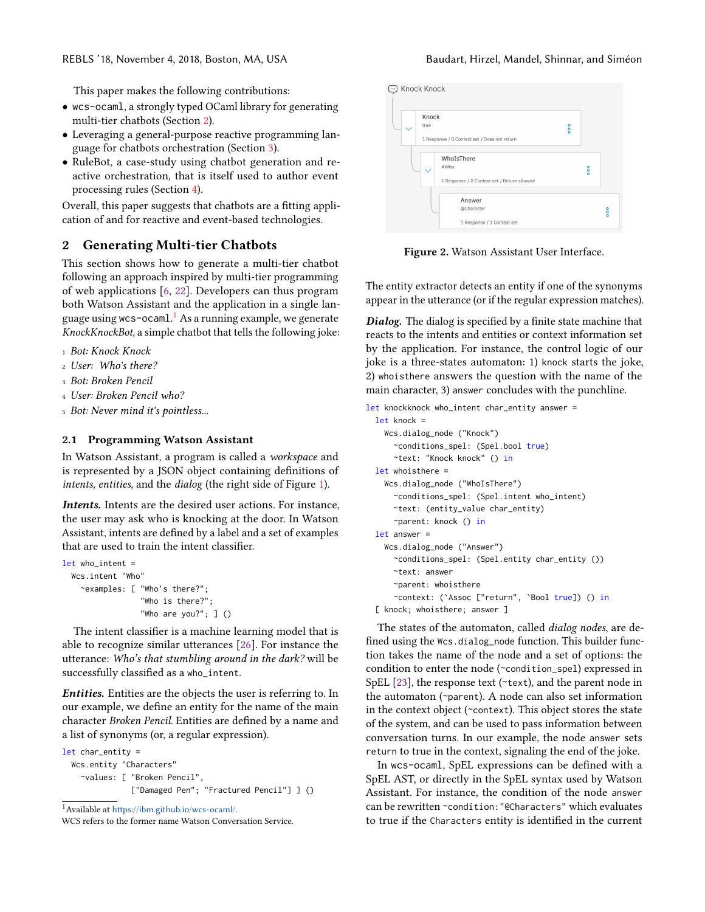This paper makes the following contributions:

- wcs-ocaml, a strongly typed OCaml library for generating multi-tier chatbots (Section [2\)](#page-1-0).
- Leveraging a general-purpose reactive programming language for chatbots orchestration (Section [3\)](#page-2-0).
- RuleBot, a case-study using chatbot generation and reactive orchestration, that is itself used to author event processing rules (Section [4\)](#page-5-0).

Overall, this paper suggests that chatbots are a fitting application of and for reactive and event-based technologies.

## <span id="page-1-0"></span>2 Generating Multi-tier Chatbots

This section shows how to generate a multi-tier chatbot following an approach inspired by multi-tier programming of web applications [\[6,](#page-9-4) [22\]](#page-9-5). Developers can thus program both Watson Assistant and the application in a single language using w $\mathsf{ccs}\text{-}\mathsf{ocaml.}^1$  $\mathsf{ccs}\text{-}\mathsf{ocaml.}^1$  As a running example, we generate KnockKnockBot, a simple chatbot that tells the following joke:

- <sup>1</sup> Bot: Knock Knock
- <sup>2</sup> User: Who's there?
- <sup>3</sup> Bot: Broken Pencil
- <sup>4</sup> User: Broken Pencil who?
- <sup>5</sup> Bot: Never mind it's pointless...

#### <span id="page-1-3"></span>2.1 Programming Watson Assistant

In Watson Assistant, a program is called a workspace and is represented by a JSON object containing definitions of intents, entities, and the dialog (the right side of Figure [1\)](#page-0-0).

Intents. Intents are the desired user actions. For instance, the user may ask who is knocking at the door. In Watson Assistant, intents are defined by a label and a set of examples that are used to train the intent classifier.

```
let who intent =Wcs.intent "Who"
    ~examples: [ "Who's there?";
                 "Who is there?";
                 "Who are you?"; ] ()
```
The intent classifier is a machine learning model that is able to recognize similar utterances [\[26\]](#page-9-6). For instance the utterance: Who's that stumbling around in the dark? will be successfully classified as a who\_intent.

Entities. Entities are the objects the user is referring to. In our example, we define an entity for the name of the main character Broken Pencil. Entities are defined by a name and a list of synonyms (or, a regular expression).

```
let char_entity =
 Wcs.entity "Characters"
    ~values: [ "Broken Pencil",
               ["Damaged Pen"; "Fractured Pencil"] ] ()
```
<span id="page-1-1"></span><sup>1</sup>Available at <https://ibm.github.io/wcs-ocaml/>.

# <span id="page-1-2"></span>**c** Knock Knock Knock 1 Response / 0 Context set / Does not return WhoIsThere  $\frac{1}{2}$ 1 Response / 0 Context set / Return allowed Answei @Character 1 Response / 1 Context set

Figure 2. Watson Assistant User Interface.

The entity extractor detects an entity if one of the synonyms appear in the utterance (or if the regular expression matches).

Dialog. The dialog is specified by a finite state machine that reacts to the intents and entities or context information set by the application. For instance, the control logic of our joke is a three-states automaton: 1) knock starts the joke, 2) whoisthere answers the question with the name of the main character, 3) answer concludes with the punchline.

```
let knockknock who_intent char_entity answer =
 let knock =
    Wcs.dialog_node ("Knock")
      ~conditions_spel: (Spel.bool true)
      ~text: "Knock knock" () in
  let whoisthere =
    Wcs.dialog_node ("WhoIsThere")
      ~conditions_spel: (Spel.intent who_intent)
      ~text: (entity_value char_entity)
      ~parent: knock () in
 let answer =
    Wcs.dialog_node ("Answer")
      ~conditions_spel: (Spel.entity char_entity ())
      ~text: answer
      ~parent: whoisthere
      ~context: (`Assoc ["return", `Bool true]) () in
  [ knock; whoisthere; answer ]
```
The states of the automaton, called *dialog nodes*, are defined using the Wcs.dialog\_node function. This builder function takes the name of the node and a set of options: the condition to enter the node (~condition\_spel) expressed in SpEL [\[23\]](#page-9-7), the response text (~text), and the parent node in the automaton (~parent). A node can also set information in the context object (~context). This object stores the state of the system, and can be used to pass information between conversation turns. In our example, the node answer sets return to true in the context, signaling the end of the joke.

In wcs-ocaml, SpEL expressions can be defined with a SpEL AST, or directly in the SpEL syntax used by Watson Assistant. For instance, the condition of the node answer can be rewritten ~condition:"@Characters" which evaluates to true if the Characters entity is identified in the current

WCS refers to the former name Watson Conversation Service.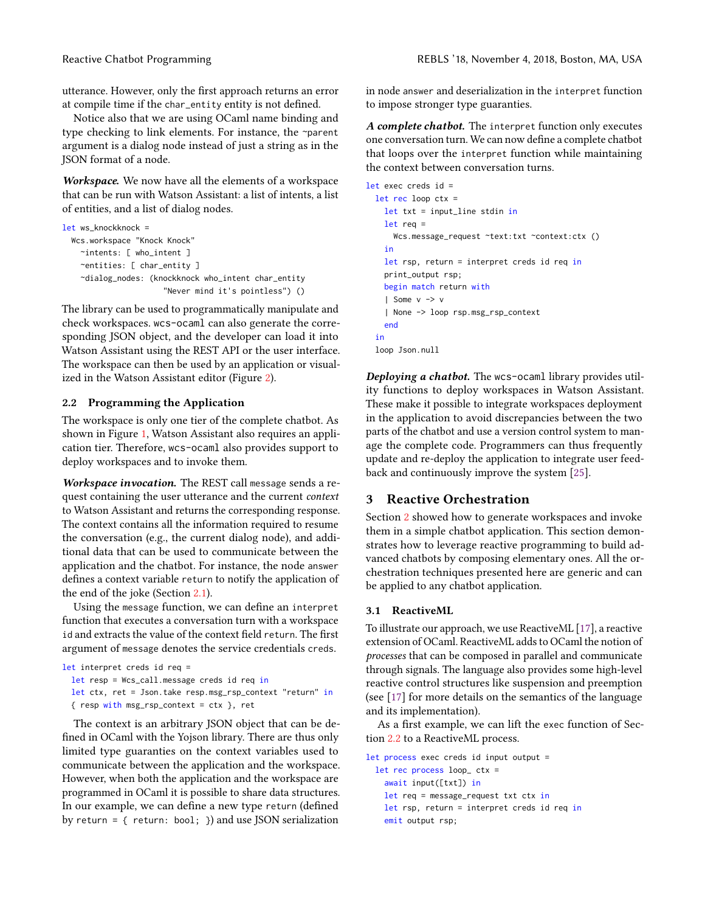utterance. However, only the first approach returns an error at compile time if the char\_entity entity is not defined.

Notice also that we are using OCaml name binding and type checking to link elements. For instance, the ~parent argument is a dialog node instead of just a string as in the JSON format of a node.

Workspace. We now have all the elements of a workspace that can be run with Watson Assistant: a list of intents, a list of entities, and a list of dialog nodes.

```
let ws_knockknock =
 Wcs.workspace "Knock Knock"
    ~intents: [ who_intent ]
    ~entities: [ char_entity ]
    ~dialog_nodes: (knockknock who_intent char_entity
                      "Never mind it's pointless") ()
```
The library can be used to programmatically manipulate and check workspaces. wcs-ocaml can also generate the corresponding JSON object, and the developer can load it into Watson Assistant using the REST API or the user interface. The workspace can then be used by an application or visualized in the Watson Assistant editor (Figure [2\)](#page-1-2).

## <span id="page-2-1"></span>2.2 Programming the Application

The workspace is only one tier of the complete chatbot. As shown in Figure [1,](#page-0-0) Watson Assistant also requires an application tier. Therefore, wcs-ocaml also provides support to deploy workspaces and to invoke them.

Workspace invocation. The REST call message sends a request containing the user utterance and the current context to Watson Assistant and returns the corresponding response. The context contains all the information required to resume the conversation (e.g., the current dialog node), and additional data that can be used to communicate between the application and the chatbot. For instance, the node answer defines a context variable return to notify the application of the end of the joke (Section [2.1\)](#page-1-3).

Using the message function, we can define an interpret function that executes a conversation turn with a workspace id and extracts the value of the context field return. The first argument of message denotes the service credentials creds.

```
let interpret creds id req =
 let resp = Wcs_call.message creds id req in
 let ctx, ret = Json.take resp.msg_rsp_context "return" in
 \{ resp with msg_rsp_context = ctx \}, ret
```
The context is an arbitrary JSON object that can be defined in OCaml with the Yojson library. There are thus only limited type guaranties on the context variables used to communicate between the application and the workspace. However, when both the application and the workspace are programmed in OCaml it is possible to share data structures. In our example, we can define a new type return (defined by return =  $\{$  return: bool;  $\}$ ) and use JSON serialization

in node answer and deserialization in the interpret function to impose stronger type guaranties.

A complete chatbot. The interpret function only executes one conversation turn. We can now define a complete chatbot that loops over the interpret function while maintaining the context between conversation turns.

```
let exec creds id =
 let rec loop ctx =
   let txt = input_line stdin in
   let req =
     Wcs.message_request ~text:txt ~context:ctx ()
    in
   let rsp, return = interpret creds id req in
   print_output rsp;
   begin match return with
    | Some v -> v
    | None -> loop rsp.msg_rsp_context
   end
  in
 loop Json.null
```
Deploying a chatbot. The wcs-ocaml library provides utility functions to deploy workspaces in Watson Assistant. These make it possible to integrate workspaces deployment in the application to avoid discrepancies between the two parts of the chatbot and use a version control system to manage the complete code. Programmers can thus frequently update and re-deploy the application to integrate user feedback and continuously improve the system [\[25\]](#page-9-8).

## <span id="page-2-0"></span>3 Reactive Orchestration

Section [2](#page-1-0) showed how to generate workspaces and invoke them in a simple chatbot application. This section demonstrates how to leverage reactive programming to build advanced chatbots by composing elementary ones. All the orchestration techniques presented here are generic and can be applied to any chatbot application.

## 3.1 ReactiveML

To illustrate our approach, we use ReactiveML [\[17\]](#page-9-3), a reactive extension of OCaml. ReactiveML adds to OCaml the notion of processes that can be composed in parallel and communicate through signals. The language also provides some high-level reactive control structures like suspension and preemption (see [\[17\]](#page-9-3) for more details on the semantics of the language and its implementation).

As a first example, we can lift the exec function of Section [2.2](#page-2-1) to a ReactiveML process.

```
let process exec creds id input output =
 let rec process loop_ ctx =
   await input([txt]) in
   let req = message_request txt ctx in
   let rsp, return = interpret creds id req in
   emit output rsp;
```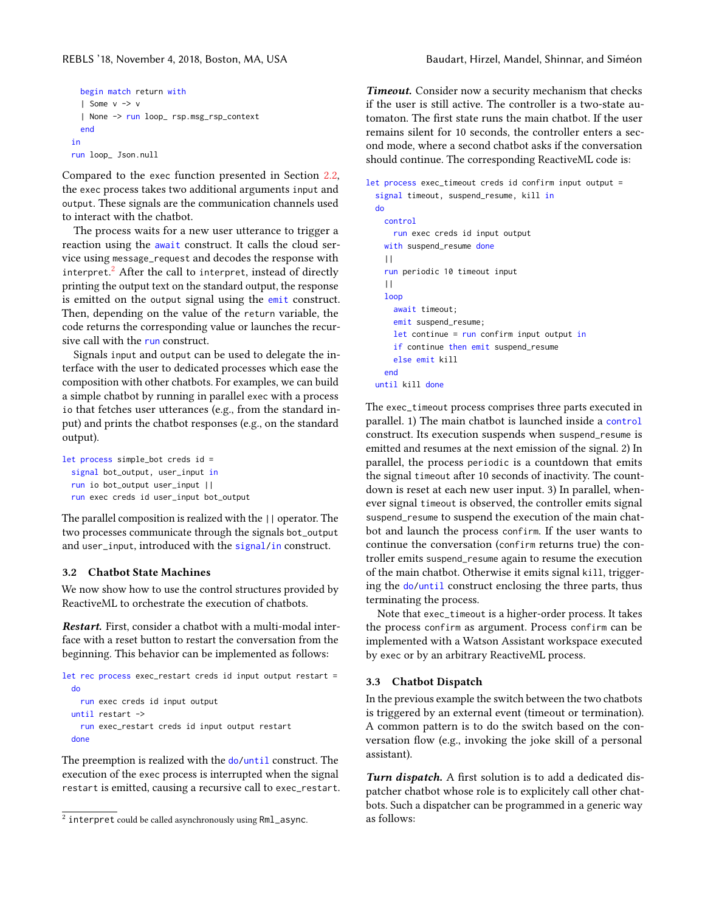```
begin match return with
  | Some v -> v
  | None -> run loop_ rsp.msg_rsp_context
  end
in
run loop_ Json.null
```
Compared to the exec function presented in Section [2.2,](#page-2-1) the exec process takes two additional arguments input and output. These signals are the communication channels used to interact with the chatbot.

The process waits for a new user utterance to trigger a reaction using the await construct. It calls the cloud service using message\_request and decodes the response with interpret.<sup>[2](#page-3-0)</sup> After the call to interpret, instead of directly printing the output text on the standard output, the response is emitted on the output signal using the emit construct. Then, depending on the value of the return variable, the code returns the corresponding value or launches the recursive call with the run construct.

Signals input and output can be used to delegate the interface with the user to dedicated processes which ease the composition with other chatbots. For examples, we can build a simple chatbot by running in parallel exec with a process io that fetches user utterances (e.g., from the standard input) and prints the chatbot responses (e.g., on the standard output).

```
let process simple_bot creds id =
 signal bot_output, user_input in
 run io bot_output user_input ||
 run exec creds id user_input bot_output
```
The parallel composition is realized with the || operator. The two processes communicate through the signals bot\_output and user\_input, introduced with the signal/in construct.

#### <span id="page-3-1"></span>3.2 Chatbot State Machines

We now show how to use the control structures provided by ReactiveML to orchestrate the execution of chatbots.

Restart. First, consider a chatbot with a multi-modal interface with a reset button to restart the conversation from the beginning. This behavior can be implemented as follows:

```
let rec process exec_restart creds id input output restart =
 do
    run exec creds id input output
 until restart ->
    run exec_restart creds id input output restart
 done
```
The preemption is realized with the do/until construct. The execution of the exec process is interrupted when the signal restart is emitted, causing a recursive call to exec\_restart.

Timeout. Consider now a security mechanism that checks if the user is still active. The controller is a two-state automaton. The first state runs the main chatbot. If the user remains silent for 10 seconds, the controller enters a second mode, where a second chatbot asks if the conversation should continue. The corresponding ReactiveML code is:

```
let process exec_timeout creds id confirm input output =
  signal timeout, suspend_resume, kill in
 do
    control
      run exec creds id input output
    with suspend_resume done
    | \ |run periodic 10 timeout input
    | \ |loop
      await timeout;
      emit suspend_resume;
      let continue = run confirm input output in
      if continue then emit suspend_resume
      else emit kill
    end
 until kill done
```
The exec\_timeout process comprises three parts executed in parallel. 1) The main chatbot is launched inside a control construct. Its execution suspends when suspend\_resume is emitted and resumes at the next emission of the signal. 2) In parallel, the process periodic is a countdown that emits the signal timeout after 10 seconds of inactivity. The countdown is reset at each new user input. 3) In parallel, whenever signal timeout is observed, the controller emits signal suspend\_resume to suspend the execution of the main chatbot and launch the process confirm. If the user wants to continue the conversation (confirm returns true) the controller emits suspend\_resume again to resume the execution of the main chatbot. Otherwise it emits signal kill, triggering the do/until construct enclosing the three parts, thus terminating the process.

Note that exec\_timeout is a higher-order process. It takes the process confirm as argument. Process confirm can be implemented with a Watson Assistant workspace executed by exec or by an arbitrary ReactiveML process.

#### <span id="page-3-2"></span>3.3 Chatbot Dispatch

In the previous example the switch between the two chatbots is triggered by an external event (timeout or termination). A common pattern is to do the switch based on the conversation flow (e.g., invoking the joke skill of a personal assistant).

Turn dispatch. A first solution is to add a dedicated dispatcher chatbot whose role is to explicitely call other chatbots. Such a dispatcher can be programmed in a generic way as follows:

<span id="page-3-0"></span> $^{\rm 2}$  interpret could be called asynchronously using <code>Rm1\_async.</code>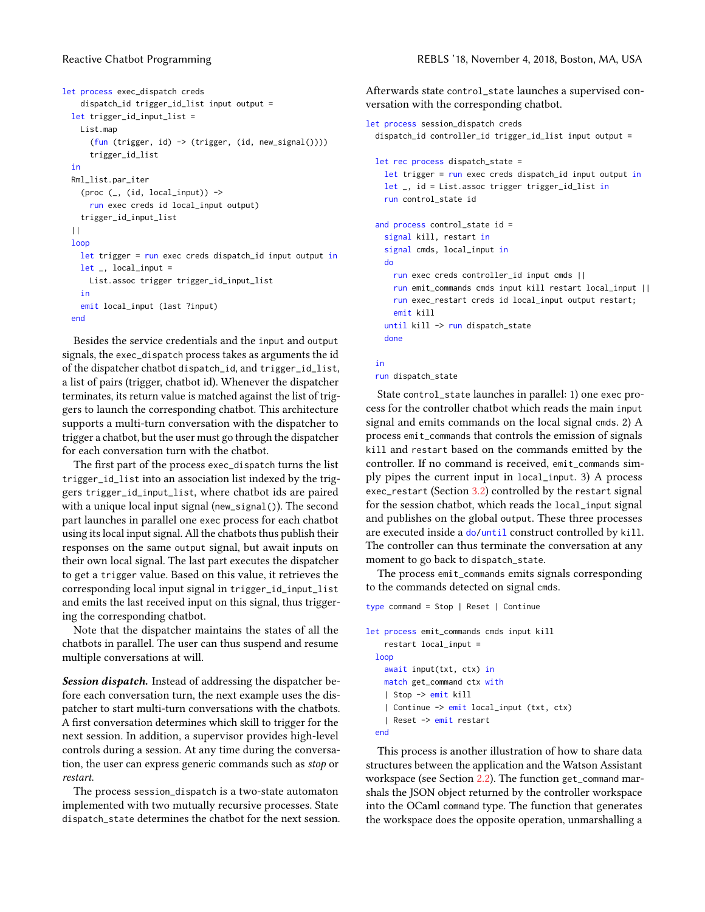```
let process exec_dispatch creds
    dispatch_id trigger_id_list input output =
 let trigger_id_input_list =
   List.map
      (fun (trigger, id) -> (trigger, (id, new_signal())))
      trigger_id_list
 in
 Rml_list.par_iter
    (proc (\_, (id, local_input)) ->
      run exec creds id local_input output)
    trigger_id_input_list
  ||
 loop
    let trigger = run exec creds dispatch_id input output in
    let _, local_input =
     List.assoc trigger trigger_id_input_list
    in
    emit local_input (last ?input)
 end
```
Besides the service credentials and the input and output signals, the exec\_dispatch process takes as arguments the id of the dispatcher chatbot dispatch\_id, and trigger\_id\_list, a list of pairs (trigger, chatbot id). Whenever the dispatcher terminates, its return value is matched against the list of triggers to launch the corresponding chatbot. This architecture supports a multi-turn conversation with the dispatcher to trigger a chatbot, but the user must go through the dispatcher for each conversation turn with the chatbot.

The first part of the process exec\_dispatch turns the list trigger\_id\_list into an association list indexed by the triggers trigger\_id\_input\_list, where chatbot ids are paired with a unique local input signal (new\_signal()). The second part launches in parallel one exec process for each chatbot using its local input signal. All the chatbots thus publish their responses on the same output signal, but await inputs on their own local signal. The last part executes the dispatcher to get a trigger value. Based on this value, it retrieves the corresponding local input signal in trigger\_id\_input\_list and emits the last received input on this signal, thus triggering the corresponding chatbot.

Note that the dispatcher maintains the states of all the chatbots in parallel. The user can thus suspend and resume multiple conversations at will.

Session dispatch. Instead of addressing the dispatcher before each conversation turn, the next example uses the dispatcher to start multi-turn conversations with the chatbots. A first conversation determines which skill to trigger for the next session. In addition, a supervisor provides high-level controls during a session. At any time during the conversation, the user can express generic commands such as stop or restart.

The process session\_dispatch is a two-state automaton implemented with two mutually recursive processes. State dispatch\_state determines the chatbot for the next session.

Afterwards state control\_state launches a supervised conversation with the corresponding chatbot.

```
let process session_dispatch creds
 dispatch_id controller_id trigger_id_list input output =
  let rec process dispatch_state =
    let trigger = run exec creds dispatch_id input output in
   let _, id = List.assoc trigger trigger_id_list in
    run control_state id
  and process control_state id =
    signal kill, restart in
    signal cmds, local_input in
   do
     run exec creds controller_id input cmds ||
     run emit_commands cmds input kill restart local_input ||
     run exec_restart creds id local_input output restart;
     emit kill
    until kill -> run dispatch_state
   done
```
#### in

run dispatch\_state

State control\_state launches in parallel: 1) one exec process for the controller chatbot which reads the main input signal and emits commands on the local signal cmds. 2) A process emit\_commands that controls the emission of signals kill and restart based on the commands emitted by the controller. If no command is received, emit\_commands simply pipes the current input in local\_input. 3) A process exec\_restart (Section [3.2\)](#page-3-1) controlled by the restart signal for the session chatbot, which reads the local\_input signal and publishes on the global output. These three processes are executed inside a do/until construct controlled by kill. The controller can thus terminate the conversation at any moment to go back to dispatch\_state.

The process emit\_commands emits signals corresponding to the commands detected on signal cmds.

```
type command = Stop | Reset | Continue
let process emit_commands cmds input kill
    restart local_input =
 loop
    await input(txt, ctx) in
   match get_command ctx with
    | Stop -> emit kill
    | Continue -> emit local_input (txt, ctx)
    | Reset -> emit restart
  end
```
This process is another illustration of how to share data structures between the application and the Watson Assistant workspace (see Section [2.2\)](#page-2-1). The function get\_command marshals the JSON object returned by the controller workspace into the OCaml command type. The function that generates the workspace does the opposite operation, unmarshalling a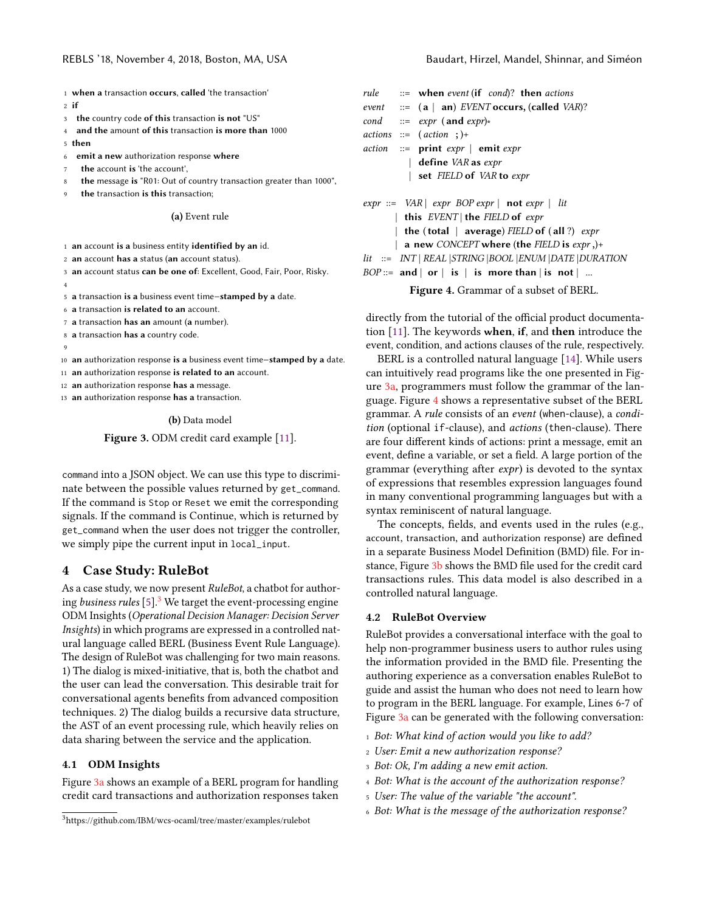- <span id="page-5-2"></span>1 when a transaction occurs, called 'the transaction'
- $2 \text{ if}$
- 3 the country code of this transaction is not "US"
- 4 and the amount of this transaction is more than 1000
- 5 then
- 6 emit a new authorization response where
- the account is 'the account',
- the message is "R01: Out of country transaction greater than 1000",
- the transaction is this transaction;

#### (a) Event rule

- 1 an account is a business entity identified by an id.
- 2 an account has a status (an account status).

3 an account status can be one of: Excellent, Good, Fair, Poor, Risky. 4

<sup>5</sup> a transaction is a business event time−stamped by a date.

6 a transaction is related to an account.

- 7 a transaction has an amount (a number).
- 8 a transaction has a country code.
- 9

<sup>10</sup> an authorization response is a business event time−stamped by a date.

11 an authorization response is related to an account.

12 an authorization response has a message.

13 an authorization response has a transaction.

#### (b) Data model

Figure 3. ODM credit card example [\[11\]](#page-9-9).

command into a JSON object. We can use this type to discriminate between the possible values returned by get\_command. If the command is Stop or Reset we emit the corresponding signals. If the command is Continue, which is returned by get\_command when the user does not trigger the controller, we simply pipe the current input in local\_input.

## <span id="page-5-0"></span>4 Case Study: RuleBot

As a case study, we now present RuleBot, a chatbot for authoring business rules  $[5]^3$  $[5]^3$  $[5]^3$  We target the event-processing engine ODM Insights (Operational Decision Manager: Decision Server Insights) in which programs are expressed in a controlled natural language called BERL (Business Event Rule Language). The design of RuleBot was challenging for two main reasons. 1) The dialog is mixed-initiative, that is, both the chatbot and the user can lead the conversation. This desirable trait for conversational agents benefits from advanced composition techniques. 2) The dialog builds a recursive data structure, the AST of an event processing rule, which heavily relies on data sharing between the service and the application.

#### 4.1 ODM Insights

Figure [3a](#page-5-2) shows an example of a BERL program for handling credit card transactions and authorization responses taken

<span id="page-5-3"></span>rule  $\cdots$  when event (if cond)? then actions event  $::= (a | an)$  EVENT occurs, (called VAR)? cond ::=  $expr$  (and  $expr$ )\*  $actions ::= (action ; )+$  $action ::= print expr | emit expr$ define VAR as expr set FIELD of VAR to expr  $expr ::= VAR | expr BOPexpr | not expr | lit$ this  $EVENT$  the FIELD of expr the (total  $|$  average) FIELD of (all ?) expr a new CONCEPT where (the FIELD is  $expr$ ,)+ lit ::= INT | REAL |STRING |BOOL |ENUM |DATE |DURATION  $BOP ::=$  and | or | is | is more than | is not | ...

Figure 4. Grammar of a subset of BERL.

directly from the tutorial of the official product documentation  $[11]$ . The keywords when, if, and then introduce the event, condition, and actions clauses of the rule, respectively.

BERL is a controlled natural language [\[14\]](#page-9-11). While users can intuitively read programs like the one presented in Figure [3a,](#page-5-2) programmers must follow the grammar of the language. Figure [4](#page-5-3) shows a representative subset of the BERL grammar. A rule consists of an event (when-clause), a condition (optional if-clause), and actions (then-clause). There are four different kinds of actions: print a message, emit an event, define a variable, or set a field. A large portion of the grammar (everything after expr) is devoted to the syntax of expressions that resembles expression languages found in many conventional programming languages but with a syntax reminiscent of natural language.

The concepts, fields, and events used in the rules (e.g., account, transaction, and authorization response) are defined in a separate Business Model Definition (BMD) file. For instance, Figure [3b](#page-5-2) shows the BMD file used for the credit card transactions rules. This data model is also described in a controlled natural language.

#### 4.2 RuleBot Overview

RuleBot provides a conversational interface with the goal to help non-programmer business users to author rules using the information provided in the BMD file. Presenting the authoring experience as a conversation enables RuleBot to guide and assist the human who does not need to learn how to program in the BERL language. For example, Lines 6-7 of Figure [3a](#page-5-2) can be generated with the following conversation:

- 1 Bot: What kind of action would you like to add?
- <sup>2</sup> User: Emit a new authorization response?
- <sup>3</sup> Bot: Ok, I'm adding a new emit action.
- <sup>4</sup> Bot: What is the account of the authorization response?
- <sup>5</sup> User: The value of the variable "the account".
- <sup>6</sup> Bot: What is the message of the authorization response?

<span id="page-5-1"></span><sup>3</sup>https://github.com/IBM/wcs-ocaml/tree/master/examples/rulebot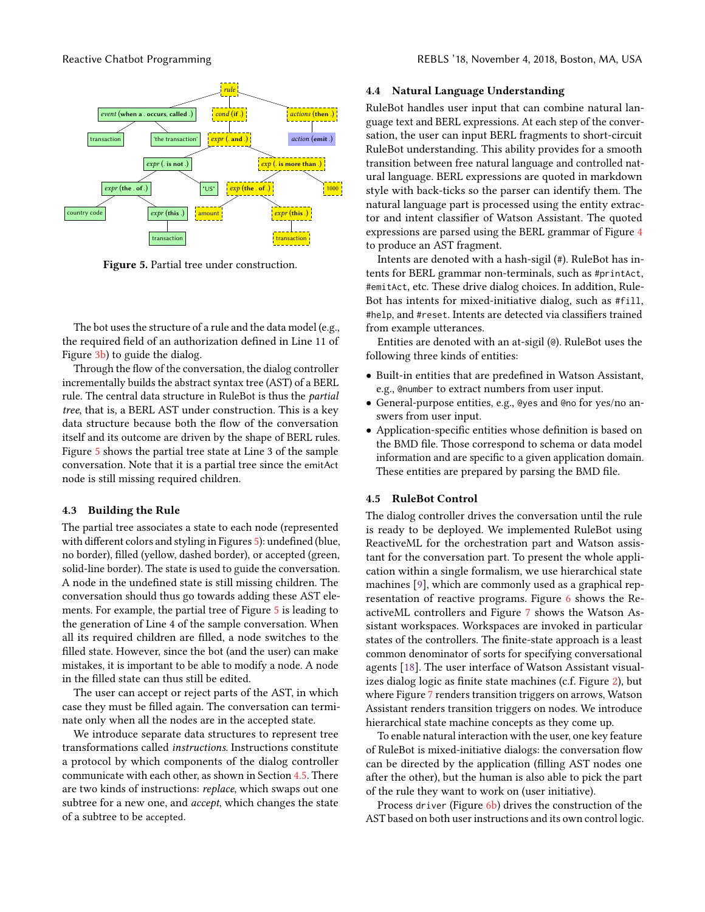<span id="page-6-0"></span>

Figure 5. Partial tree under construction.

The bot uses the structure of a rule and the data model (e.g., the required field of an authorization defined in Line 11 of Figure [3b\)](#page-5-2) to guide the dialog.

Through the flow of the conversation, the dialog controller incrementally builds the abstract syntax tree (AST) of a BERL rule. The central data structure in RuleBot is thus the partial tree, that is, a BERL AST under construction. This is a key data structure because both the flow of the conversation itself and its outcome are driven by the shape of BERL rules. Figure [5](#page-6-0) shows the partial tree state at Line 3 of the sample conversation. Note that it is a partial tree since the emitAct node is still missing required children.

#### 4.3 Building the Rule

The partial tree associates a state to each node (represented with different colors and styling in Figures [5\)](#page-6-0): undefined (blue, no border), filled (yellow, dashed border), or accepted (green, solid-line border). The state is used to guide the conversation. A node in the undefined state is still missing children. The conversation should thus go towards adding these AST elements. For example, the partial tree of Figure [5](#page-6-0) is leading to the generation of Line 4 of the sample conversation. When all its required children are filled, a node switches to the filled state. However, since the bot (and the user) can make mistakes, it is important to be able to modify a node. A node in the filled state can thus still be edited.

The user can accept or reject parts of the AST, in which case they must be filled again. The conversation can terminate only when all the nodes are in the accepted state.

We introduce separate data structures to represent tree transformations called instructions. Instructions constitute a protocol by which components of the dialog controller communicate with each other, as shown in Section [4.5.](#page-6-1) There are two kinds of instructions: replace, which swaps out one subtree for a new one, and accept, which changes the state of a subtree to be accepted.

#### 4.4 Natural Language Understanding

RuleBot handles user input that can combine natural language text and BERL expressions. At each step of the conversation, the user can input BERL fragments to short-circuit RuleBot understanding. This ability provides for a smooth transition between free natural language and controlled natural language. BERL expressions are quoted in markdown style with back-ticks so the parser can identify them. The natural language part is processed using the entity extractor and intent classifier of Watson Assistant. The quoted expressions are parsed using the BERL grammar of Figure [4](#page-5-3) to produce an AST fragment.

Intents are denoted with a hash-sigil (#). RuleBot has intents for BERL grammar non-terminals, such as #printAct, #emitAct, etc. These drive dialog choices. In addition, Rule-Bot has intents for mixed-initiative dialog, such as #fill, #help, and #reset. Intents are detected via classifiers trained from example utterances.

Entities are denoted with an at-sigil (@). RuleBot uses the following three kinds of entities:

- Built-in entities that are predefined in Watson Assistant, e.g., @number to extract numbers from user input.
- General-purpose entities, e.g., @yes and @no for yes/no answers from user input.
- Application-specific entities whose definition is based on the BMD file. Those correspond to schema or data model information and are specific to a given application domain. These entities are prepared by parsing the BMD file.

#### <span id="page-6-1"></span>4.5 RuleBot Control

The dialog controller drives the conversation until the rule is ready to be deployed. We implemented RuleBot using ReactiveML for the orchestration part and Watson assistant for the conversation part. To present the whole application within a single formalism, we use hierarchical state machines [\[9\]](#page-9-12), which are commonly used as a graphical representation of reactive programs. Figure [6](#page-7-0) shows the ReactiveML controllers and Figure [7](#page-8-0) shows the Watson Assistant workspaces. Workspaces are invoked in particular states of the controllers. The finite-state approach is a least common denominator of sorts for specifying conversational agents [\[18\]](#page-9-13). The user interface of Watson Assistant visualizes dialog logic as finite state machines (c.f. Figure [2\)](#page-1-2), but where Figure [7](#page-8-0) renders transition triggers on arrows, Watson Assistant renders transition triggers on nodes. We introduce hierarchical state machine concepts as they come up.

To enable natural interaction with the user, one key feature of RuleBot is mixed-initiative dialogs: the conversation flow can be directed by the application (filling AST nodes one after the other), but the human is also able to pick the part of the rule they want to work on (user initiative).

Process driver (Figure [6b\)](#page-7-0) drives the construction of the AST based on both user instructions and its own control logic.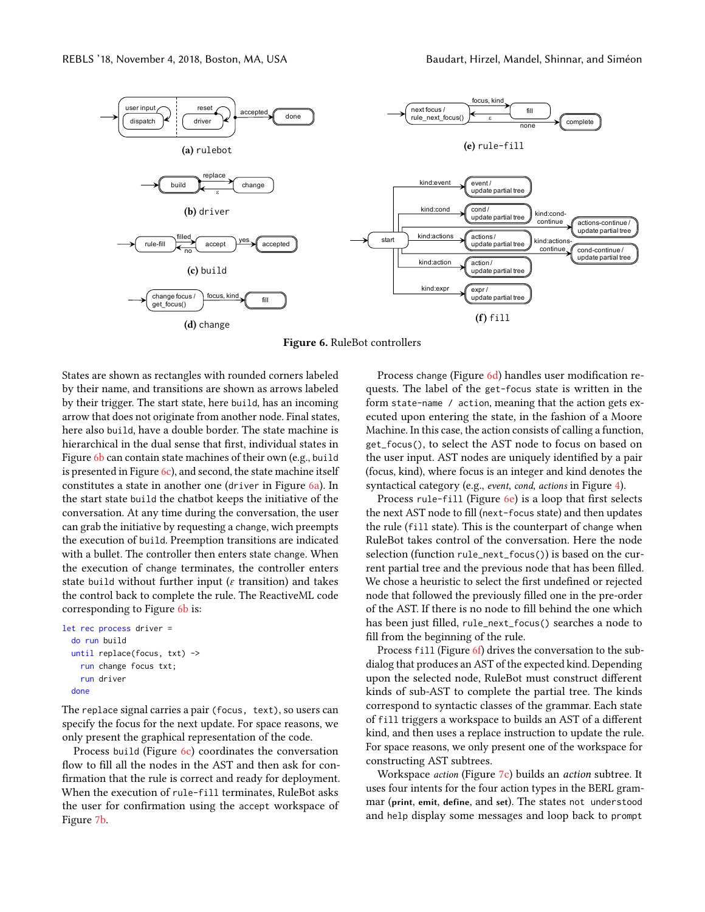<span id="page-7-0"></span>

Figure 6. RuleBot controllers

States are shown as rectangles with rounded corners labeled by their name, and transitions are shown as arrows labeled by their trigger. The start state, here build, has an incoming arrow that does not originate from another node. Final states, here also build, have a double border. The state machine is hierarchical in the dual sense that first, individual states in Figure [6b](#page-7-0) can contain state machines of their own (e.g., build is presented in Figure  $6c$ ), and second, the state machine itself constitutes a state in another one (driver in Figure [6a\)](#page-7-0). In the start state build the chatbot keeps the initiative of the conversation. At any time during the conversation, the user can grab the initiative by requesting a change, wich preempts the execution of build. Preemption transitions are indicated with a bullet. The controller then enters state change. When the execution of change terminates, the controller enters state build without further input ( $\varepsilon$  transition) and takes the control back to complete the rule. The ReactiveML code corresponding to Figure [6b](#page-7-0) is:

```
let rec process driver =
 do run build
 until replace(focus, txt) ->
    run change focus txt;
    run driver
 done
```
The replace signal carries a pair (focus, text), so users can specify the focus for the next update. For space reasons, we only present the graphical representation of the code.

Process build (Figure [6c\)](#page-7-0) coordinates the conversation flow to fill all the nodes in the AST and then ask for confirmation that the rule is correct and ready for deployment. When the execution of rule-fill terminates, RuleBot asks the user for confirmation using the accept workspace of Figure [7b.](#page-8-0)

Process change (Figure [6d\)](#page-7-0) handles user modification requests. The label of the get-focus state is written in the form state-name / action, meaning that the action gets executed upon entering the state, in the fashion of a Moore Machine. In this case, the action consists of calling a function, get\_focus(), to select the AST node to focus on based on the user input. AST nodes are uniquely identified by a pair (focus, kind), where focus is an integer and kind denotes the syntactical category (e.g., event, cond, actions in Figure [4\)](#page-5-3).

Process rule-fill (Figure [6e\)](#page-7-0) is a loop that first selects the next AST node to fill (next-focus state) and then updates the rule (fill state). This is the counterpart of change when RuleBot takes control of the conversation. Here the node selection (function rule\_next\_focus()) is based on the current partial tree and the previous node that has been filled. We chose a heuristic to select the first undefined or rejected node that followed the previously filled one in the pre-order of the AST. If there is no node to fill behind the one which has been just filled, rule\_next\_focus() searches a node to fill from the beginning of the rule.

Process fill (Figure [6f\)](#page-7-0) drives the conversation to the subdialog that produces an AST of the expected kind. Depending upon the selected node, RuleBot must construct different kinds of sub-AST to complete the partial tree. The kinds correspond to syntactic classes of the grammar. Each state of fill triggers a workspace to builds an AST of a different kind, and then uses a replace instruction to update the rule. For space reasons, we only present one of the workspace for constructing AST subtrees.

Workspace *action* (Figure [7c\)](#page-8-0) builds an *action* subtree. It uses four intents for the four action types in the BERL grammar (print, emit, define, and set). The states not understood and help display some messages and loop back to prompt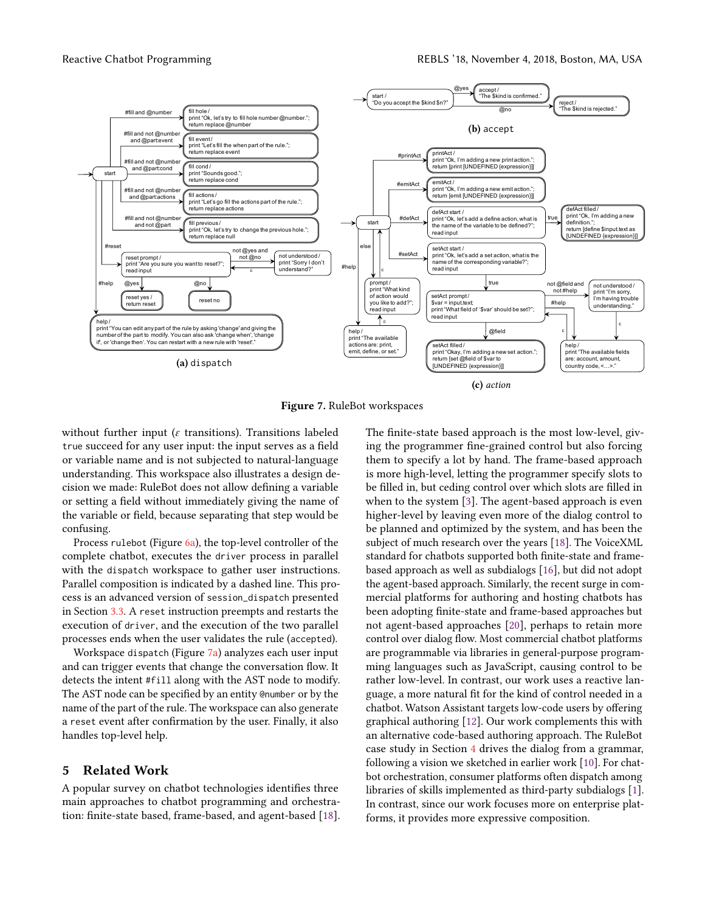<span id="page-8-0"></span>

Figure 7. RuleBot workspaces

without further input ( $\varepsilon$  transitions). Transitions labeled true succeed for any user input: the input serves as a field or variable name and is not subjected to natural-language understanding. This workspace also illustrates a design decision we made: RuleBot does not allow defining a variable or setting a field without immediately giving the name of the variable or field, because separating that step would be confusing.

Process rulebot (Figure [6a\)](#page-7-0), the top-level controller of the complete chatbot, executes the driver process in parallel with the dispatch workspace to gather user instructions. Parallel composition is indicated by a dashed line. This process is an advanced version of session\_dispatch presented in Section [3.3.](#page-3-2) A reset instruction preempts and restarts the execution of driver, and the execution of the two parallel processes ends when the user validates the rule (accepted).

Workspace dispatch (Figure [7a\)](#page-8-0) analyzes each user input and can trigger events that change the conversation flow. It detects the intent #fill along with the AST node to modify. The AST node can be specified by an entity @number or by the name of the part of the rule. The workspace can also generate a reset event after confirmation by the user. Finally, it also handles top-level help.

### 5 Related Work

A popular survey on chatbot technologies identifies three main approaches to chatbot programming and orchestration: finite-state based, frame-based, and agent-based [\[18\]](#page-9-13). The finite-state based approach is the most low-level, giving the programmer fine-grained control but also forcing them to specify a lot by hand. The frame-based approach is more high-level, letting the programmer specify slots to be filled in, but ceding control over which slots are filled in when to the system [\[3\]](#page-9-14). The agent-based approach is even higher-level by leaving even more of the dialog control to be planned and optimized by the system, and has been the subject of much research over the years [\[18\]](#page-9-13). The VoiceXML standard for chatbots supported both finite-state and framebased approach as well as subdialogs [\[16\]](#page-9-15), but did not adopt the agent-based approach. Similarly, the recent surge in commercial platforms for authoring and hosting chatbots has been adopting finite-state and frame-based approaches but not agent-based approaches [\[20\]](#page-9-1), perhaps to retain more control over dialog flow. Most commercial chatbot platforms are programmable via libraries in general-purpose programming languages such as JavaScript, causing control to be rather low-level. In contrast, our work uses a reactive language, a more natural fit for the kind of control needed in a chatbot. Watson Assistant targets low-code users by offering graphical authoring [\[12\]](#page-9-2). Our work complements this with an alternative code-based authoring approach. The RuleBot case study in Section [4](#page-5-0) drives the dialog from a grammar, following a vision we sketched in earlier work [\[10\]](#page-9-16). For chatbot orchestration, consumer platforms often dispatch among libraries of skills implemented as third-party subdialogs [\[1\]](#page-9-17). In contrast, since our work focuses more on enterprise platforms, it provides more expressive composition.